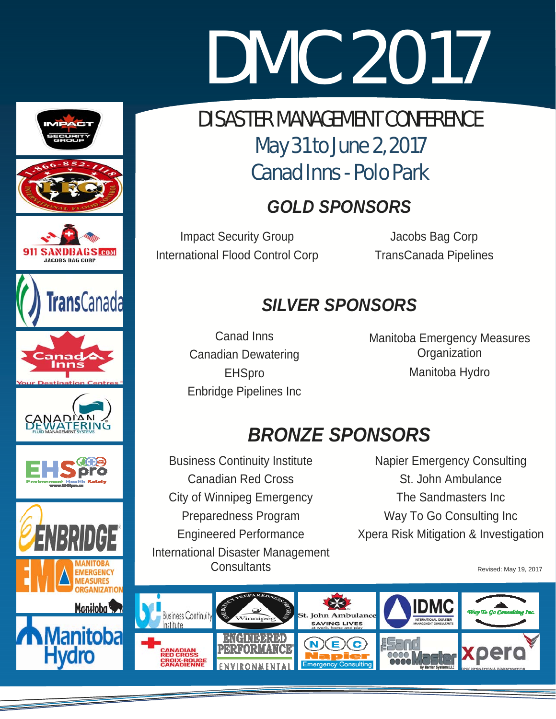# DMC 2017 DMC 2017

# DISASTER MANAGEMENT GUNI ERENGE<br>May 21 to lung 2 2017 **Canad Inns - Polo Park** DISASTER MANAGEMENT CONFERENCE May 31 to June 2, 2017

# $GOLD$  SPONSORS

**Impact Security Group Constructs** and the Unit of Second Impact Security Group International Flood Control Corp

Jacobs Bag Corp TransCanada Pipelines

# *SILVER SPONSORS SILVER SPONSORS*

 $\frac{6}{5}$  Deniau IIIII.  $C^{\text{intra}} = C^{\text{intra}}$ Preparedness Program Canad Inns Canadian Dewatering **EHSpro** Enbridge Pipelines Inc

Manitoba Emergency Measures<br>Craenization Manitoba Hydro **Organization** 

# **BRONZE SPONSORS**

**BRONZE SPONSORS SEARCH SPONSORS SEARCH SPONSORS St. John City of Winnipeg Emergency** .<br>Preparedness Program Engineered Performance **Consultants** Business Continuity Institute International Disaster Management

The Sandmasters Inc Way To Go Consulting Inc Xpera Risk Mitigation & Investigation Napier Emergency Consulting St. John Ambulance

Revised: May 19, 2017





INDBAGS ACOBS BAG CORP







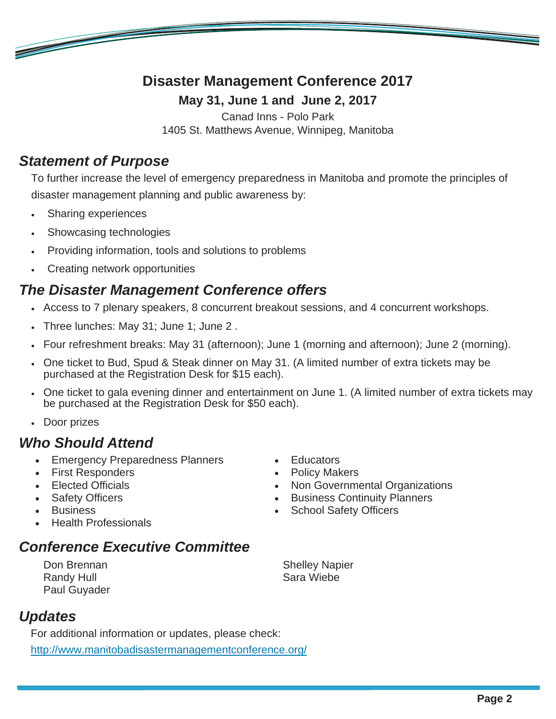# **Disaster Management Conference 2017**

**May 31, June 1 and June 2, 2017** 

Canad Inns - Polo Park

1405 St. Matthews Avenue, Winnipeg, Manitoba

### *Statement of Purpose*

<u>e de la compa</u>

To further increase the level of emergency preparedness in Manitoba and promote the principles of disaster management planning and public awareness by:

- Sharing experiences
- Showcasing technologies
- Providing information, tools and solutions to problems
- Creating network opportunities

## *The Disaster Management Conference offers*

- Access to 7 plenary speakers, 8 concurrent breakout sessions, and 4 concurrent workshops.
- Three lunches: May 31; June 1; June 2 .
- Four refreshment breaks: May 31 (afternoon); June 1 (morning and afternoon); June 2 (morning).
- One ticket to Bud, Spud & Steak dinner on May 31. (A limited number of extra tickets may be purchased at the Registration Desk for \$15 each).
- One ticket to gala evening dinner and entertainment on June 1. (A limited number of extra tickets may be purchased at the Registration Desk for \$50 each).
- Door prizes

### *Who Should Attend*

- **Emergency Preparedness Planners**
- First Responders
- Elected Officials
- Safety Officers
- **Business**
- Health Professionals

# *Conference Executive Committee*

Don Brennan Randy Hull Paul Guyader Shelley Napier Sara Wiebe

• Non Governmental Organizations **•** Business Continuity Planners School Safety Officers

• Educators • Policy Makers

# *Updates*

For additional information or updates, please check: http://www.manitobadisastermanagementconference.org/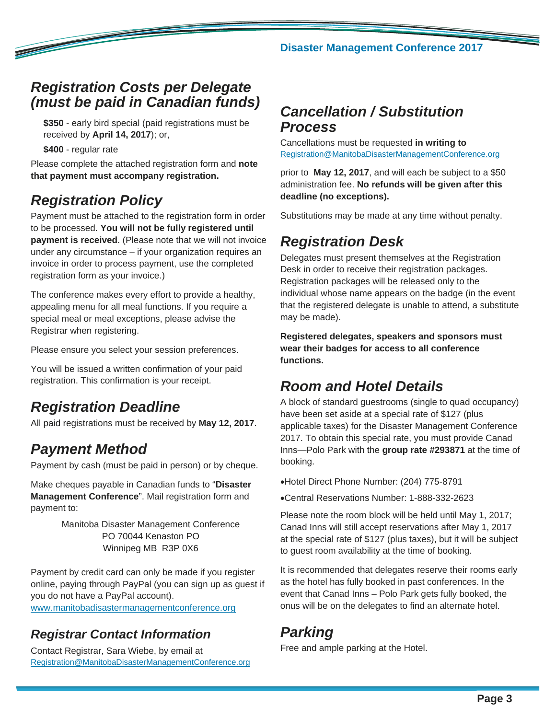### *Registration Costs per Delegate (must be paid in Canadian funds)*

**\$350** - early bird special (paid registrations must be received by **April 14, 2017**); or,

**\$400** - regular rate

<u>and a shear that the same of the same of the same of the same of the same of the same of the same of the same of the same of the same of the same of the same of the same of the same of the same of the same of the same of </u>

Please complete the attached registration form and **note that payment must accompany registration.**

# *Registration Policy*

Payment must be attached to the registration form in order to be processed. **You will not be fully registered until payment is received**. (Please note that we will not invoice under any circumstance – if your organization requires an invoice in order to process payment, use the completed registration form as your invoice.)

The conference makes every effort to provide a healthy, appealing menu for all meal functions. If you require a special meal or meal exceptions, please advise the Registrar when registering.

Please ensure you select your session preferences.

You will be issued a written confirmation of your paid registration. This confirmation is your receipt.

# *Registration Deadline*

All paid registrations must be received by **May 12, 2017**.

# *Payment Method*

Payment by cash (must be paid in person) or by cheque.

Make cheques payable in Canadian funds to "**Disaster Management Conference**". Mail registration form and payment to:

> Manitoba Disaster Management Conference PO 70044 Kenaston PO Winnipeg MB R3P 0X6

Payment by credit card can only be made if you register online, paying through PayPal (you can sign up as guest if you do not have a PayPal account). www.manitobadisastermanagementconference.org

# *Registrar Contact Information*

Contact Registrar, Sara Wiebe, by email at Registration@ManitobaDisasterManagementConference.org

# *Cancellation / Substitution Process*

Cancellations must be requested **in writing to**  Registration@ManitobaDisasterManagementConference.org

prior to **May 12, 2017**, and will each be subject to a \$50 administration fee. **No refunds will be given after this deadline (no exceptions).**

Substitutions may be made at any time without penalty.

# *Registration Desk*

Delegates must present themselves at the Registration Desk in order to receive their registration packages. Registration packages will be released only to the individual whose name appears on the badge (in the event that the registered delegate is unable to attend, a substitute may be made).

**Registered delegates, speakers and sponsors must wear their badges for access to all conference functions.** 

# *Room and Hotel Details*

A block of standard guestrooms (single to quad occupancy) have been set aside at a special rate of \$127 (plus applicable taxes) for the Disaster Management Conference 2017. To obtain this special rate, you must provide Canad Inns—Polo Park with the **group rate #293871** at the time of booking.

Hotel Direct Phone Number: (204) 775-8791

Central Reservations Number: 1-888-332-2623

Please note the room block will be held until May 1, 2017; Canad Inns will still accept reservations after May 1, 2017 at the special rate of \$127 (plus taxes), but it will be subject to guest room availability at the time of booking.

It is recommended that delegates reserve their rooms early as the hotel has fully booked in past conferences. In the event that Canad Inns – Polo Park gets fully booked, the onus will be on the delegates to find an alternate hotel.

# *Parking*

Free and ample parking at the Hotel.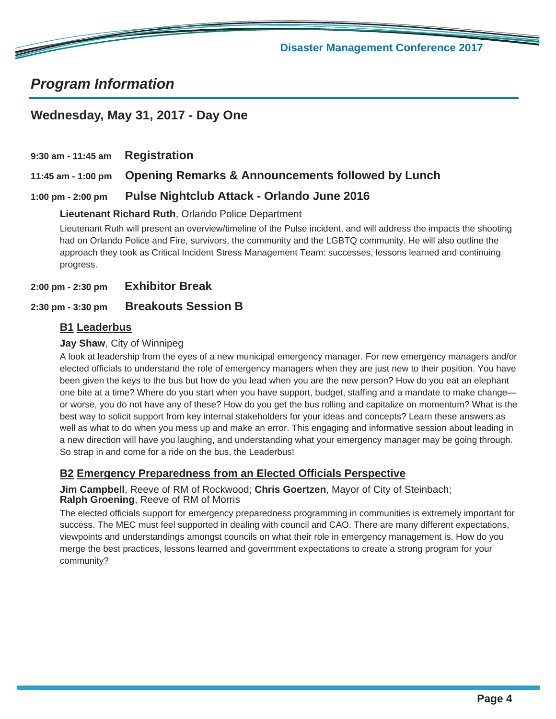

# *Program Information*

**Contract Contract Contract Contract Contract Contract Contract Contract Contract Contract Contract Contract C** 

#### **Wednesday, May 31, 2017 - Day One**

**9:30 am - 11:45 am Registration 11:45 am - 1:00 pm Opening Remarks & Announcements followed by Lunch**

#### **1:00 pm - 2:00 pm Pulse Nightclub Attack - Orlando June 2016**

#### **Lieutenant Richard Ruth**, Orlando Police Department

Lieutenant Ruth will present an overview/timeline of the Pulse incident, and will address the impacts the shooting had on Orlando Police and Fire, survivors, the community and the LGBTQ community. He will also outline the approach they took as Critical Incident Stress Management Team: successes, lessons learned and continuing progress.

**2:00 pm - 2:30 pm Exhibitor Break**

#### **2:30 pm - 3:30 pm Breakouts Session B**

#### **B1 Leaderbus**

#### **Jay Shaw**, City of Winnipeg

A look at leadership from the eyes of a new municipal emergency manager. For new emergency managers and/or elected officials to understand the role of emergency managers when they are just new to their position. You have been given the keys to the bus but how do you lead when you are the new person? How do you eat an elephant one bite at a time? Where do you start when you have support, budget, staffing and a mandate to make change or worse, you do not have any of these? How do you get the bus rolling and capitalize on momentum? What is the best way to solicit support from key internal stakeholders for your ideas and concepts? Learn these answers as well as what to do when you mess up and make an error. This engaging and informative session about leading in a new direction will have you laughing, and understanding what your emergency manager may be going through. So strap in and come for a ride on the bus, the Leaderbus!

#### **B2 Emergency Preparedness from an Elected Officials Perspective**

**Jim Campbell**, Reeve of RM of Rockwood; **Chris Goertzen**, Mayor of City of Steinbach; **Ralph Groening**, Reeve of RM of Morris

The elected officials support for emergency preparedness programming in communities is extremely important for success. The MEC must feel supported in dealing with council and CAO. There are many different expectations, viewpoints and understandings amongst councils on what their role in emergency management is. How do you merge the best practices, lessons learned and government expectations to create a strong program for your community?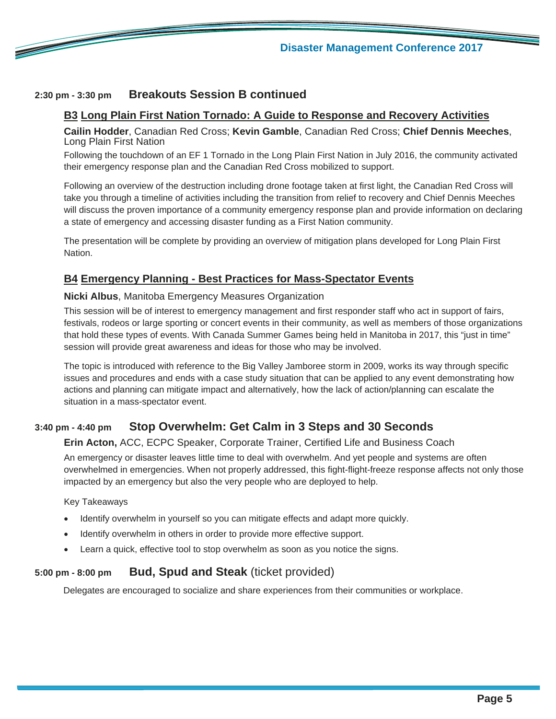

#### **2:30 pm - 3:30 pm Breakouts Session B continued**

#### **B3 Long Plain First Nation Tornado: A Guide to Response and Recovery Activities**

**Cailin Hodder**, Canadian Red Cross; **Kevin Gamble**, Canadian Red Cross; **Chief Dennis Meeches**, Long Plain First Nation

Following the touchdown of an EF 1 Tornado in the Long Plain First Nation in July 2016, the community activated their emergency response plan and the Canadian Red Cross mobilized to support.

Following an overview of the destruction including drone footage taken at first light, the Canadian Red Cross will take you through a timeline of activities including the transition from relief to recovery and Chief Dennis Meeches will discuss the proven importance of a community emergency response plan and provide information on declaring a state of emergency and accessing disaster funding as a First Nation community.

The presentation will be complete by providing an overview of mitigation plans developed for Long Plain First Nation.

#### **B4 Emergency Planning - Best Practices for Mass-Spectator Events**

#### **Nicki Albus**, Manitoba Emergency Measures Organization

This session will be of interest to emergency management and first responder staff who act in support of fairs, festivals, rodeos or large sporting or concert events in their community, as well as members of those organizations that hold these types of events. With Canada Summer Games being held in Manitoba in 2017, this "just in time" session will provide great awareness and ideas for those who may be involved.

The topic is introduced with reference to the Big Valley Jamboree storm in 2009, works its way through specific issues and procedures and ends with a case study situation that can be applied to any event demonstrating how actions and planning can mitigate impact and alternatively, how the lack of action/planning can escalate the situation in a mass-spectator event.

#### **3:40 pm - 4:40 pm Stop Overwhelm: Get Calm in 3 Steps and 30 Seconds**

#### **Erin Acton,** ACC, ECPC Speaker, Corporate Trainer, Certified Life and Business Coach

An emergency or disaster leaves little time to deal with overwhelm. And yet people and systems are often overwhelmed in emergencies. When not properly addressed, this fight-flight-freeze response affects not only those impacted by an emergency but also the very people who are deployed to help.

Key Takeaways

- Identify overwhelm in yourself so you can mitigate effects and adapt more quickly.
- Identify overwhelm in others in order to provide more effective support.
- Learn a quick, effective tool to stop overwhelm as soon as you notice the signs.

#### **5:00 pm - 8:00 pm Bud, Spud and Steak** (ticket provided)

Delegates are encouraged to socialize and share experiences from their communities or workplace.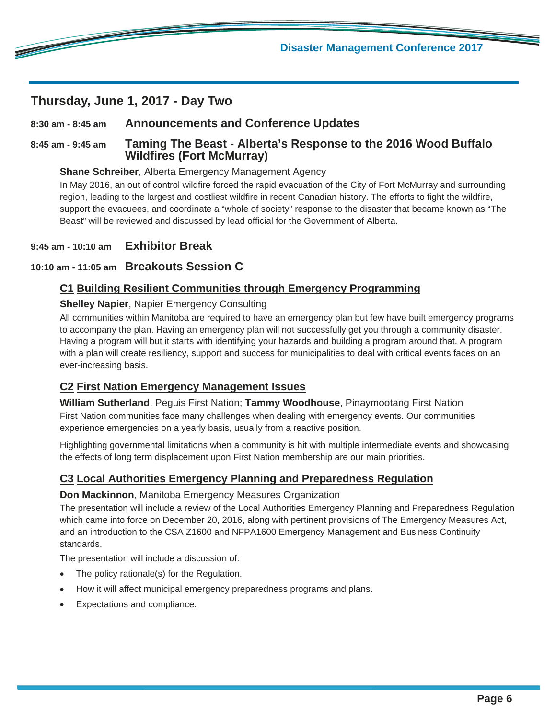#### **Thursday, June 1, 2017 - Day Two**

<u>de la compa</u>

#### **8:30 am - 8:45 am Announcements and Conference Updates**

#### **8:45 am - 9:45 am Taming The Beast - Alberta's Response to the 2016 Wood Buffalo Wildfires (Fort McMurray)**

#### **Shane Schreiber**, Alberta Emergency Management Agency

In May 2016, an out of control wildfire forced the rapid evacuation of the City of Fort McMurray and surrounding region, leading to the largest and costliest wildfire in recent Canadian history. The efforts to fight the wildfire, support the evacuees, and coordinate a "whole of society" response to the disaster that became known as "The Beast" will be reviewed and discussed by lead official for the Government of Alberta.

#### **9:45 am - 10:10 am Exhibitor Break**

#### **10:10 am - 11:05 am Breakouts Session C**

#### **C1 Building Resilient Communities through Emergency Programming**

#### **Shelley Napier**, Napier Emergency Consulting

All communities within Manitoba are required to have an emergency plan but few have built emergency programs to accompany the plan. Having an emergency plan will not successfully get you through a community disaster. Having a program will but it starts with identifying your hazards and building a program around that. A program with a plan will create resiliency, support and success for municipalities to deal with critical events faces on an ever-increasing basis.

#### **C2 First Nation Emergency Management Issues**

**William Sutherland**, Peguis First Nation; **Tammy Woodhouse**, Pinaymootang First Nation First Nation communities face many challenges when dealing with emergency events. Our communities experience emergencies on a yearly basis, usually from a reactive position.

Highlighting governmental limitations when a community is hit with multiple intermediate events and showcasing the effects of long term displacement upon First Nation membership are our main priorities.

#### **C3 Local Authorities Emergency Planning and Preparedness Regulation**

#### **Don Mackinnon**, Manitoba Emergency Measures Organization

The presentation will include a review of the Local Authorities Emergency Planning and Preparedness Regulation which came into force on December 20, 2016, along with pertinent provisions of The Emergency Measures Act, and an introduction to the CSA Z1600 and NFPA1600 Emergency Management and Business Continuity standards.

The presentation will include a discussion of:

- The policy rationale(s) for the Regulation.
- How it will affect municipal emergency preparedness programs and plans.
- Expectations and compliance.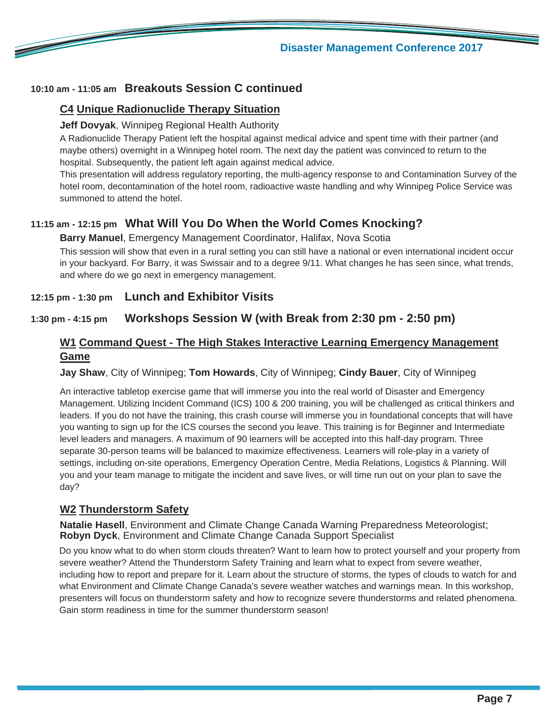

#### **Disaster Management Conference 2017**

#### **10:10 am - 11:05 am Breakouts Session C continued**

#### **C4 Unique Radionuclide Therapy Situation**

#### **Jeff Dovyak**, Winnipeg Regional Health Authority

A Radionuclide Therapy Patient left the hospital against medical advice and spent time with their partner (and maybe others) overnight in a Winnipeg hotel room. The next day the patient was convinced to return to the hospital. Subsequently, the patient left again against medical advice.

This presentation will address regulatory reporting, the multi-agency response to and Contamination Survey of the hotel room, decontamination of the hotel room, radioactive waste handling and why Winnipeg Police Service was summoned to attend the hotel.

#### **11:15 am - 12:15 pm What Will You Do When the World Comes Knocking?**

#### **Barry Manuel**, Emergency Management Coordinator, Halifax, Nova Scotia

This session will show that even in a rural setting you can still have a national or even international incident occur in your backyard. For Barry, it was Swissair and to a degree 9/11. What changes he has seen since, what trends, and where do we go next in emergency management.

#### **12:15 pm - 1:30 pm Lunch and Exhibitor Visits**

#### **1:30 pm - 4:15 pm Workshops Session W (with Break from 2:30 pm - 2:50 pm)**

#### **W1 Command Quest - The High Stakes Interactive Learning Emergency Management Game**

**Jay Shaw**, City of Winnipeg; **Tom Howards**, City of Winnipeg; **Cindy Bauer**, City of Winnipeg

An interactive tabletop exercise game that will immerse you into the real world of Disaster and Emergency Management. Utilizing Incident Command (ICS) 100 & 200 training, you will be challenged as critical thinkers and leaders. If you do not have the training, this crash course will immerse you in foundational concepts that will have you wanting to sign up for the ICS courses the second you leave. This training is for Beginner and Intermediate level leaders and managers. A maximum of 90 learners will be accepted into this half-day program. Three separate 30-person teams will be balanced to maximize effectiveness. Learners will role-play in a variety of settings, including on-site operations, Emergency Operation Centre, Media Relations, Logistics & Planning. Will you and your team manage to mitigate the incident and save lives, or will time run out on your plan to save the day?

#### **W2 Thunderstorm Safety**

**Natalie Hasell**, Environment and Climate Change Canada Warning Preparedness Meteorologist; **Robyn Dyck**, Environment and Climate Change Canada Support Specialist

Do you know what to do when storm clouds threaten? Want to learn how to protect yourself and your property from severe weather? Attend the Thunderstorm Safety Training and learn what to expect from severe weather, including how to report and prepare for it. Learn about the structure of storms, the types of clouds to watch for and what Environment and Climate Change Canada's severe weather watches and warnings mean. In this workshop, presenters will focus on thunderstorm safety and how to recognize severe thunderstorms and related phenomena. Gain storm readiness in time for the summer thunderstorm season!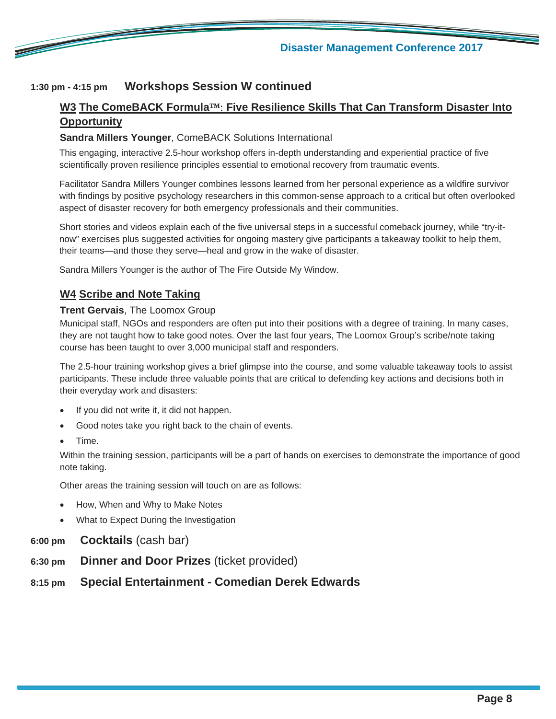

#### **1:30 pm - 4:15 pm Workshops Session W continued**

#### **W3 The ComeBACK Formula™**: **Five Resilience Skills That Can Transform Disaster Into Opportunity**

#### **Sandra Millers Younger**, ComeBACK Solutions International

This engaging, interactive 2.5-hour workshop offers in-depth understanding and experiential practice of five scientifically proven resilience principles essential to emotional recovery from traumatic events.

Facilitator Sandra Millers Younger combines lessons learned from her personal experience as a wildfire survivor with findings by positive psychology researchers in this common-sense approach to a critical but often overlooked aspect of disaster recovery for both emergency professionals and their communities.

Short stories and videos explain each of the five universal steps in a successful comeback journey, while "try-itnow" exercises plus suggested activities for ongoing mastery give participants a takeaway toolkit to help them, their teams—and those they serve—heal and grow in the wake of disaster.

Sandra Millers Younger is the author of The Fire Outside My Window.

#### **W4 Scribe and Note Taking**

#### **Trent Gervais**, The Loomox Group

Municipal staff, NGOs and responders are often put into their positions with a degree of training. In many cases, they are not taught how to take good notes. Over the last four years, The Loomox Group's scribe/note taking course has been taught to over 3,000 municipal staff and responders.

The 2.5-hour training workshop gives a brief glimpse into the course, and some valuable takeaway tools to assist participants. These include three valuable points that are critical to defending key actions and decisions both in their everyday work and disasters:

- If you did not write it, it did not happen.
- Good notes take you right back to the chain of events.
- Time.

Within the training session, participants will be a part of hands on exercises to demonstrate the importance of good note taking.

Other areas the training session will touch on are as follows:

- How, When and Why to Make Notes
- What to Expect During the Investigation
- **6:00 pm Cocktails** (cash bar)
- **6:30 pm Dinner and Door Prizes** (ticket provided)
- **8:15 pm Special Entertainment Comedian Derek Edwards**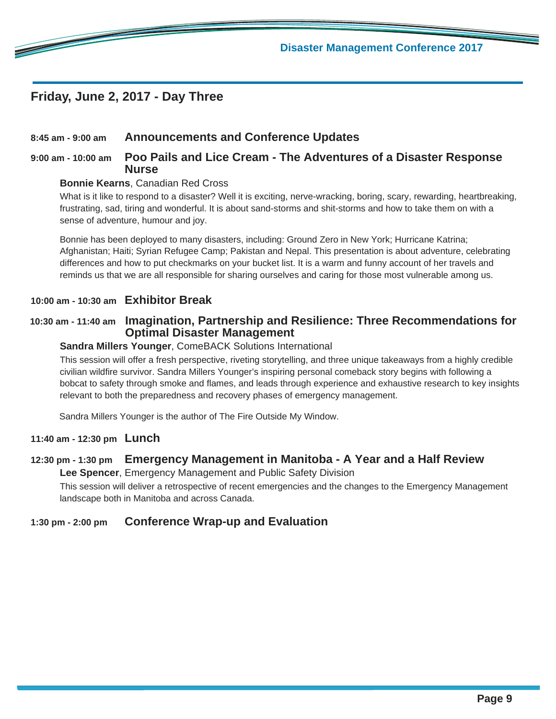#### **Friday, June 2, 2017 - Day Three**

<u>e de la compa</u>

#### **8:45 am - 9:00 am Announcements and Conference Updates**

#### **9:00 am - 10:00 am Poo Pails and Lice Cream - The Adventures of a Disaster Response Nurse**

#### **Bonnie Kearns**, Canadian Red Cross

What is it like to respond to a disaster? Well it is exciting, nerve-wracking, boring, scary, rewarding, heartbreaking, frustrating, sad, tiring and wonderful. It is about sand-storms and shit-storms and how to take them on with a sense of adventure, humour and joy.

Bonnie has been deployed to many disasters, including: Ground Zero in New York; Hurricane Katrina; Afghanistan; Haiti; Syrian Refugee Camp; Pakistan and Nepal. This presentation is about adventure, celebrating differences and how to put checkmarks on your bucket list. It is a warm and funny account of her travels and reminds us that we are all responsible for sharing ourselves and caring for those most vulnerable among us.

#### **10:00 am - 10:30 am Exhibitor Break**

#### **10:30 am - 11:40 am Imagination, Partnership and Resilience: Three Recommendations for Optimal Disaster Management**

#### **Sandra Millers Younger**, ComeBACK Solutions International

This session will offer a fresh perspective, riveting storytelling, and three unique takeaways from a highly credible civilian wildfire survivor. Sandra Millers Younger's inspiring personal comeback story begins with following a bobcat to safety through smoke and flames, and leads through experience and exhaustive research to key insights relevant to both the preparedness and recovery phases of emergency management.

Sandra Millers Younger is the author of The Fire Outside My Window.

#### **11:40 am - 12:30 pm Lunch**

#### **12:30 pm - 1:30 pm Emergency Management in Manitoba - A Year and a Half Review**

**Lee Spencer**, Emergency Management and Public Safety Division

This session will deliver a retrospective of recent emergencies and the changes to the Emergency Management landscape both in Manitoba and across Canada.

#### **1:30 pm - 2:00 pm Conference Wrap-up and Evaluation**